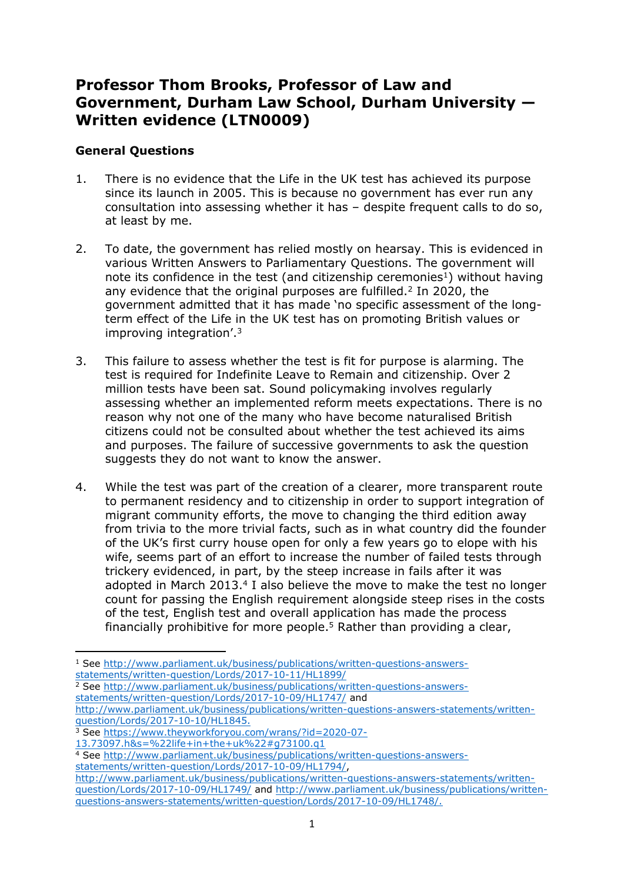## **Professor Thom Brooks, Professor of Law and Government, Durham Law School, Durham University — Written evidence (LTN0009)**

## **General Questions**

- 1. There is no evidence that the Life in the UK test has achieved its purpose since its launch in 2005. This is because no government has ever run any consultation into assessing whether it has – despite frequent calls to do so, at least by me.
- 2. To date, the government has relied mostly on hearsay. This is evidenced in various Written Answers to Parliamentary Questions. The government will note its confidence in the test (and citizenship ceremonies<sup>1</sup>) without having any evidence that the original purposes are fulfilled.<sup>2</sup> In 2020, the government admitted that it has made 'no specific assessment of the longterm effect of the Life in the UK test has on promoting British values or improving integration'.<sup>3</sup>
- 3. This failure to assess whether the test is fit for purpose is alarming. The test is required for Indefinite Leave to Remain and citizenship. Over 2 million tests have been sat. Sound policymaking involves regularly assessing whether an implemented reform meets expectations. There is no reason why not one of the many who have become naturalised British citizens could not be consulted about whether the test achieved its aims and purposes. The failure of successive governments to ask the question suggests they do not want to know the answer.
- 4. While the test was part of the creation of a clearer, more transparent route to permanent residency and to citizenship in order to support integration of migrant community efforts, the move to changing the third edition away from trivia to the more trivial facts, such as in what country did the founder of the UK's first curry house open for only a few years go to elope with his wife, seems part of an effort to increase the number of failed tests through trickery evidenced, in part, by the steep increase in fails after it was adopted in March 2013.<sup>4</sup> I also believe the move to make the test no longer count for passing the English requirement alongside steep rises in the costs of the test, English test and overall application has made the process financially prohibitive for more people.<sup>5</sup> Rather than providing a clear,

<sup>1</sup> See [http://www.parliament.uk/business/publications/written-questions-answers](http://www.parliament.uk/business/publications/written-questions-answers-statements/written-question/Lords/2017-10-11/HL1899/)[statements/written-question/Lords/2017-10-11/HL1899/](http://www.parliament.uk/business/publications/written-questions-answers-statements/written-question/Lords/2017-10-11/HL1899/)

<sup>&</sup>lt;sup>2</sup> See [http://www.parliament.uk/business/publications/written-questions-answers](http://www.parliament.uk/business/publications/written-questions-answers-statements/written-question/Lords/2017-10-09/HL1747/)[statements/written-question/Lords/2017-10-09/HL1747/](http://www.parliament.uk/business/publications/written-questions-answers-statements/written-question/Lords/2017-10-09/HL1747/) and

[http://www.parliament.uk/business/publications/written-questions-answers-statements/written](http://www.parliament.uk/business/publications/written-questions-answers-statements/written-question/Lords/2017-10-10/HL1845)[question/Lords/2017-10-10/HL1845.](http://www.parliament.uk/business/publications/written-questions-answers-statements/written-question/Lords/2017-10-10/HL1845)

<sup>3</sup> See [https://www.theyworkforyou.com/wrans/?id=2020-07-](https://www.theyworkforyou.com/wrans/?id=2020-07-13.73097.h&s=%22life+in+the+uk%22#g73100.q1)

[<sup>13.73097.</sup>h&s=%22life+in+the+uk%22#g73100.q1](https://www.theyworkforyou.com/wrans/?id=2020-07-13.73097.h&s=%22life+in+the+uk%22#g73100.q1)

<sup>4</sup> See [http://www.parliament.uk/business/publications/written-questions-answers](http://www.parliament.uk/business/publications/written-questions-answers-statements/written-question/Lords/2017-10-09/HL1794/)[statements/written-question/Lords/2017-10-09/HL1794/,](http://www.parliament.uk/business/publications/written-questions-answers-statements/written-question/Lords/2017-10-09/HL1794/)

[http://www.parliament.uk/business/publications/written-questions-answers-statements/written](http://www.parliament.uk/business/publications/written-questions-answers-statements/written-question/Lords/2017-10-09/HL1749/)[question/Lords/2017-10-09/HL1749/](http://www.parliament.uk/business/publications/written-questions-answers-statements/written-question/Lords/2017-10-09/HL1749/) and [http://www.parliament.uk/business/publications/written](http://www.parliament.uk/business/publications/written-questions-answers-statements/written-question/Lords/2017-10-09/HL1748/)[questions-answers-statements/written-question/Lords/2017-10-09/HL1748/.](http://www.parliament.uk/business/publications/written-questions-answers-statements/written-question/Lords/2017-10-09/HL1748/)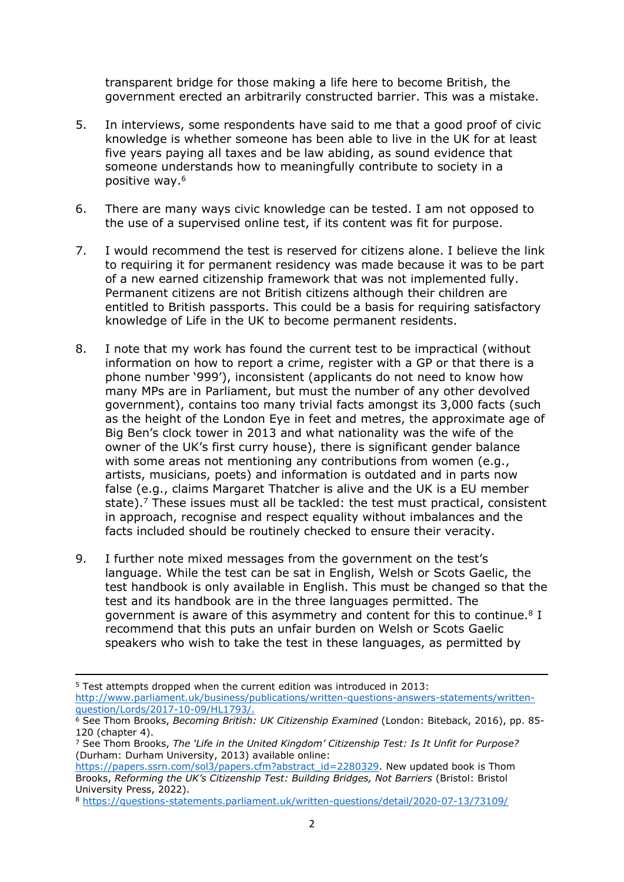transparent bridge for those making a life here to become British, the government erected an arbitrarily constructed barrier. This was a mistake.

- 5. In interviews, some respondents have said to me that a good proof of civic knowledge is whether someone has been able to live in the UK for at least five years paying all taxes and be law abiding, as sound evidence that someone understands how to meaningfully contribute to society in a positive way.<sup>6</sup>
- 6. There are many ways civic knowledge can be tested. I am not opposed to the use of a supervised online test, if its content was fit for purpose.
- 7. I would recommend the test is reserved for citizens alone. I believe the link to requiring it for permanent residency was made because it was to be part of a new earned citizenship framework that was not implemented fully. Permanent citizens are not British citizens although their children are entitled to British passports. This could be a basis for requiring satisfactory knowledge of Life in the UK to become permanent residents.
- 8. I note that my work has found the current test to be impractical (without information on how to report a crime, register with a GP or that there is a phone number '999'), inconsistent (applicants do not need to know how many MPs are in Parliament, but must the number of any other devolved government), contains too many trivial facts amongst its 3,000 facts (such as the height of the London Eye in feet and metres, the approximate age of Big Ben's clock tower in 2013 and what nationality was the wife of the owner of the UK's first curry house), there is significant gender balance with some areas not mentioning any contributions from women (e.g., artists, musicians, poets) and information is outdated and in parts now false (e.g., claims Margaret Thatcher is alive and the UK is a EU member state).<sup>7</sup> These issues must all be tackled: the test must practical, consistent in approach, recognise and respect equality without imbalances and the facts included should be routinely checked to ensure their veracity.
- 9. I further note mixed messages from the government on the test's language. While the test can be sat in English, Welsh or Scots Gaelic, the test handbook is only available in English. This must be changed so that the test and its handbook are in the three languages permitted. The government is aware of this asymmetry and content for this to continue.<sup>8</sup> I recommend that this puts an unfair burden on Welsh or Scots Gaelic speakers who wish to take the test in these languages, as permitted by

<sup>5</sup> Test attempts dropped when the current edition was introduced in 2013:

[http://www.parliament.uk/business/publications/written-questions-answers-statements/written](http://www.parliament.uk/business/publications/written-questions-answers-statements/written-question/Lords/2017-10-09/HL1793/)[question/Lords/2017-10-09/HL1793/.](http://www.parliament.uk/business/publications/written-questions-answers-statements/written-question/Lords/2017-10-09/HL1793/)

<sup>6</sup> See Thom Brooks, *Becoming British: UK Citizenship Examined* (London: Biteback, 2016), pp. 85- 120 (chapter 4).

<sup>7</sup> See Thom Brooks, *The 'Life in the United Kingdom' Citizenship Test: Is It Unfit for Purpose?* (Durham: Durham University, 2013) available online:

[https://papers.ssrn.com/sol3/papers.cfm?abstract\\_id=2280329.](https://papers.ssrn.com/sol3/papers.cfm?abstract_id=2280329) New updated book is Thom Brooks, *Reforming the UK's Citizenship Test: Building Bridges, Not Barriers* (Bristol: Bristol University Press, 2022).

<sup>8</sup> <https://questions-statements.parliament.uk/written-questions/detail/2020-07-13/73109/>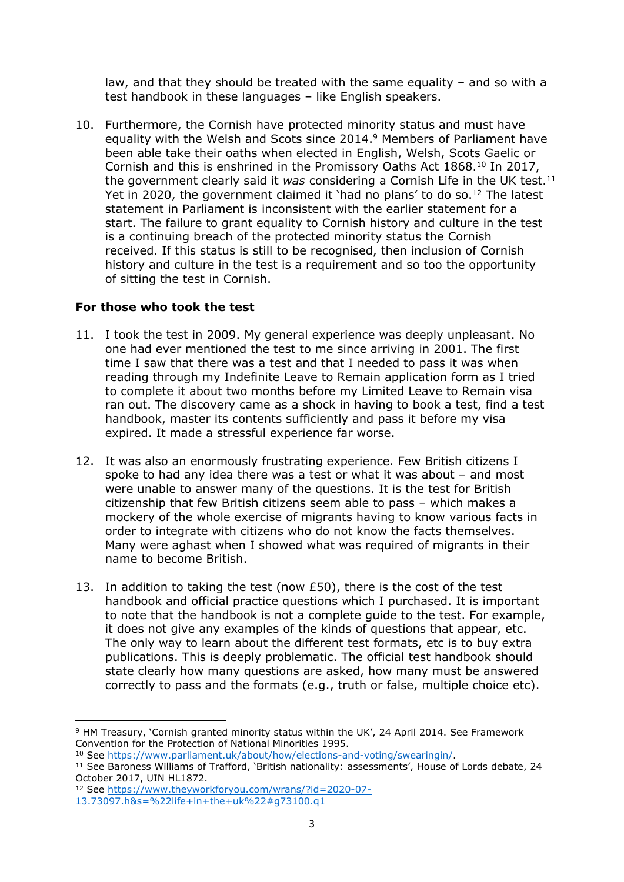law, and that they should be treated with the same equality – and so with a test handbook in these languages – like English speakers.

10. Furthermore, the Cornish have protected minority status and must have equality with the Welsh and Scots since 2014.<sup>9</sup> Members of Parliament have been able take their oaths when elected in English, Welsh, Scots Gaelic or Cornish and this is enshrined in the Promissory Oaths Act 1868.<sup>10</sup> In 2017, the government clearly said it *was* considering a Cornish Life in the UK test.<sup>11</sup> Yet in 2020, the government claimed it 'had no plans' to do so.<sup>12</sup> The latest statement in Parliament is inconsistent with the earlier statement for a start. The failure to grant equality to Cornish history and culture in the test is a continuing breach of the protected minority status the Cornish received. If this status is still to be recognised, then inclusion of Cornish history and culture in the test is a requirement and so too the opportunity of sitting the test in Cornish.

## **For those who took the test**

- 11. I took the test in 2009. My general experience was deeply unpleasant. No one had ever mentioned the test to me since arriving in 2001. The first time I saw that there was a test and that I needed to pass it was when reading through my Indefinite Leave to Remain application form as I tried to complete it about two months before my Limited Leave to Remain visa ran out. The discovery came as a shock in having to book a test, find a test handbook, master its contents sufficiently and pass it before my visa expired. It made a stressful experience far worse.
- 12. It was also an enormously frustrating experience. Few British citizens I spoke to had any idea there was a test or what it was about – and most were unable to answer many of the questions. It is the test for British citizenship that few British citizens seem able to pass – which makes a mockery of the whole exercise of migrants having to know various facts in order to integrate with citizens who do not know the facts themselves. Many were aghast when I showed what was required of migrants in their name to become British.
- 13. In addition to taking the test (now £50), there is the cost of the test handbook and official practice questions which I purchased. It is important to note that the handbook is not a complete guide to the test. For example, it does not give any examples of the kinds of questions that appear, etc. The only way to learn about the different test formats, etc is to buy extra publications. This is deeply problematic. The official test handbook should state clearly how many questions are asked, how many must be answered correctly to pass and the formats (e.g., truth or false, multiple choice etc).

<sup>9</sup> HM Treasury, 'Cornish granted minority status within the UK', 24 April 2014. See Framework Convention for the Protection of National Minorities 1995.

<sup>10</sup> See <https://www.parliament.uk/about/how/elections-and-voting/swearingin/>.

<sup>&</sup>lt;sup>11</sup> See Baroness Williams of Trafford, 'British nationality: assessments', House of Lords debate, 24 October 2017, UIN HL1872.

<sup>12</sup> See [https://www.theyworkforyou.com/wrans/?id=2020-07-](https://www.theyworkforyou.com/wrans/?id=2020-07-13.73097.h&s=%22life+in+the+uk%22#g73100.q1) [13.73097.h&s=%22life+in+the+uk%22#g73100.q1](https://www.theyworkforyou.com/wrans/?id=2020-07-13.73097.h&s=%22life+in+the+uk%22#g73100.q1)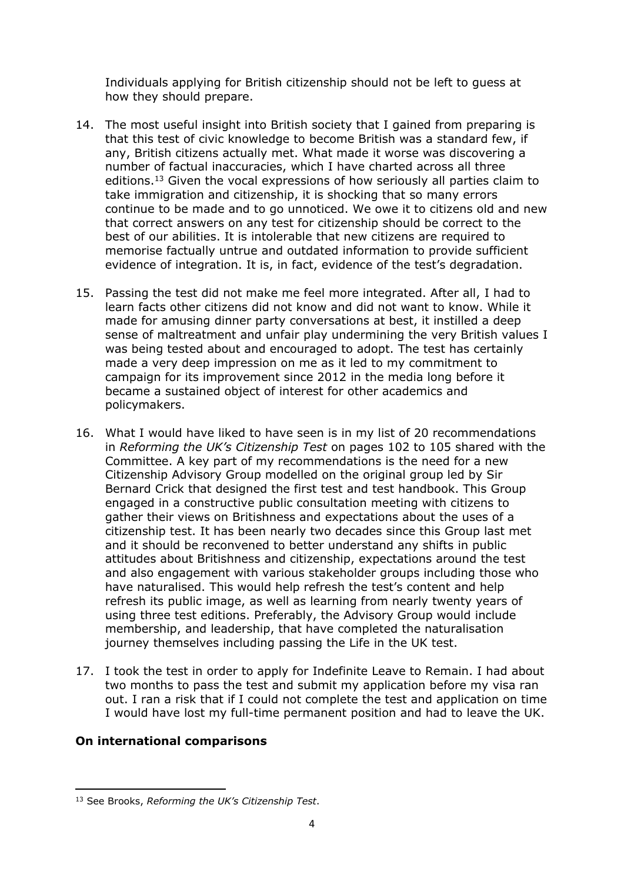Individuals applying for British citizenship should not be left to guess at how they should prepare.

- 14. The most useful insight into British society that I gained from preparing is that this test of civic knowledge to become British was a standard few, if any, British citizens actually met. What made it worse was discovering a number of factual inaccuracies, which I have charted across all three editions.<sup>13</sup> Given the vocal expressions of how seriously all parties claim to take immigration and citizenship, it is shocking that so many errors continue to be made and to go unnoticed. We owe it to citizens old and new that correct answers on any test for citizenship should be correct to the best of our abilities. It is intolerable that new citizens are required to memorise factually untrue and outdated information to provide sufficient evidence of integration. It is, in fact, evidence of the test's degradation.
- 15. Passing the test did not make me feel more integrated. After all, I had to learn facts other citizens did not know and did not want to know. While it made for amusing dinner party conversations at best, it instilled a deep sense of maltreatment and unfair play undermining the very British values I was being tested about and encouraged to adopt. The test has certainly made a very deep impression on me as it led to my commitment to campaign for its improvement since 2012 in the media long before it became a sustained object of interest for other academics and policymakers.
- 16. What I would have liked to have seen is in my list of 20 recommendations in *Reforming the UK's Citizenship Test* on pages 102 to 105 shared with the Committee. A key part of my recommendations is the need for a new Citizenship Advisory Group modelled on the original group led by Sir Bernard Crick that designed the first test and test handbook. This Group engaged in a constructive public consultation meeting with citizens to gather their views on Britishness and expectations about the uses of a citizenship test. It has been nearly two decades since this Group last met and it should be reconvened to better understand any shifts in public attitudes about Britishness and citizenship, expectations around the test and also engagement with various stakeholder groups including those who have naturalised. This would help refresh the test's content and help refresh its public image, as well as learning from nearly twenty years of using three test editions. Preferably, the Advisory Group would include membership, and leadership, that have completed the naturalisation journey themselves including passing the Life in the UK test.
- 17. I took the test in order to apply for Indefinite Leave to Remain. I had about two months to pass the test and submit my application before my visa ran out. I ran a risk that if I could not complete the test and application on time I would have lost my full-time permanent position and had to leave the UK.

## **On international comparisons**

<sup>13</sup> See Brooks, *Reforming the UK's Citizenship Test*.